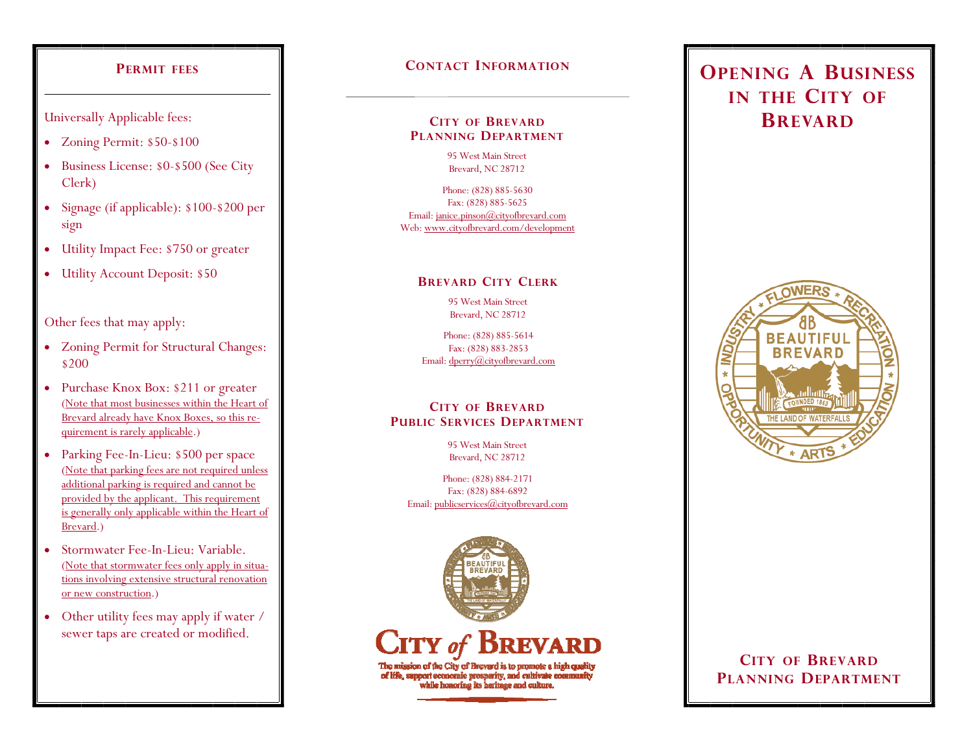## **PERMIT FEES**

Universally Applicable fees:

- Zoning Permit: \$50-\$100
- Business License: \$0-\$500 (See City Clerk)
- Signage (if applicable): \$100-\$200 per sign
- $\bullet$ Utility Impact Fee: \$750 or greater
- Utility Account Deposit: \$50

Other fees that may apply:

- Zoning Permit for Structural Changes: \$200
- $\bullet$  Purchase Knox Box: \$211 or greater (Note that most businesses within the Heart of Brevard already have Knox Boxes, so this requirement is rarely applicable.)
- Parking Fee-In-Lieu: \$500 per space (Note that parking fees are not required unless additional parking is required and cannot be provided by the applicant. This requirement is generally only applicable within the Heart of Brevard.)
- $\bullet$  Stormwater Fee-In-Lieu: Variable.(Note that stormwater fees only apply in situations involving extensive structural renovation or new construction.)
- $\bullet$  Other utility fees may apply if water / sewer taps are created or modified.

# **CONTACT INFORMATION**

#### **CITY OF BREVARDPLANNING DEPARTMENT**

95 West Main Street Brevard, NC 28712

Phone: (828) 885-5630 Fax: (828) 885-5625 Email: janice.pinson@cityofbrevard.com Web: www.cityofbrevard.com/development

## **BREVARD CITY CLERK**

95 West Main Street Brevard, NC 28712

Phone: (828) 885-5614 Fax: (828) 883-2853 Email: dperry@cityofbrevard.com

## **CITY OF BREVARDPUBLIC SERVICES DEPARTMENT**

95 West Main Street Brevard, NC 28712

Phone: (828) 884-2171 Fax: (828) 884-6892 Email: publicservices@cityofbrevard.com



# **OPENING A BUSINESSIN THE CITY OF BREVARD**



# **CITY OF BREVARDPLANNING DEPARTMENT**